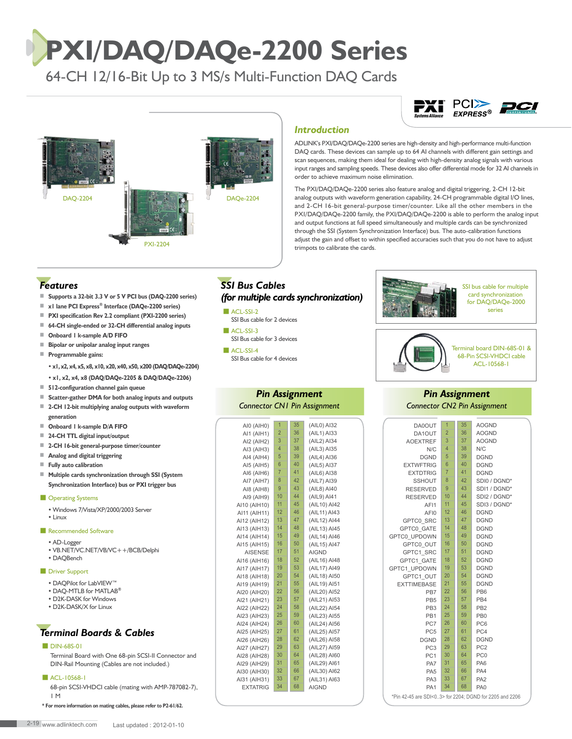# **PXI/DAQ/DAQe-2200 Series**

64-CH 12/16-Bit Up to 3 MS/s Multi-Function DAQ Cards



## *Introduction*

ADLINK's PXI/DAQ/DAQe-2200 series are high-density and high-performance multi-function DAQ cards. These devices can sample up to 64 AI channels with different gain settings and scan sequences, making them ideal for dealing with high-density analog signals with various input ranges and sampling speeds. These devices also offer differential mode for 32 AI channels in order to achieve maximum noise elimination.

The PXI/DAQ/DAQe-2200 series also feature analog and digital triggering, 2-CH 12-bit analog outputs with waveform generation capability, 24-CH programmable digital I/O lines, and 2-CH 16-bit general-purpose timer/counter. Like all the other members in the PXI/DAQ/DAQe-2200 family, the PXI/DAQ/DAQe-2200 is able to perform the analog input and output functions at full speed simultaneously and multiple cards can be synchronized through the SSI (System Synchronization Interface) bus. The auto-calibration functions adjust the gain and offset to within specified accuracies such that you do not have to adjust trimpots to calibrate the cards.

### *Features*

- **Supports a 32-bit 3.3 V or 5 V PCI bus (DAQ-2200 series)**
- ■ **x1 lane PCI Express® Interface (DAQe-2200 series)**
- **PXI specification Rev 2.2 compliant (PXI-2200 series)**
- **64-CH single-ended or 32-CH differential analog inputs**
- **Onboard 1 k-sample A/D FIFO**
- **Bipolar or unipolar analog input ranges**
- **Programmable gains:**

#### • **x1, x2, x4, x5, x8, x10, x20, x40, x50, x200 (DAQ/DAQe-2204)**

- **x1, x2, x4, x8 (DAQ/DAQe-2205 & DAQ/DAQe-2206)**
- **512-configuration channel gain queue**
- **Scatter-gather DMA for both analog inputs and outputs** ■ **2-CH 12-bit multiplying analog outputs with waveform**
- **generation** ■ **Onboard 1 k-sample D/A FIFO**
- **24-CH TTL digital input/output**
- **2-CH 16-bit general-purpose timer/counter**
- **Analog and digital triggering**
- **Fully auto calibration**
- ■ **Multiple cards synchronization through SSI (System Synchronization Interface) bus or PXI trigger bus**

#### ■ Operating Systems

- Windows 7/Vista/XP/2000/2003 Server
- Linux

#### ■ Recommended Software

- AD-Logger
- VB.NET/VC.NET/VB/VC++/BCB/Delphi
- DAQBench

#### ■ Driver Support

- DAQPilot for LabVIEW™
- DAQ-MTLB for MATLAB**®**
- D2K-DASK for Windows
- D2K-DASK/X for Linux

## *Terminal Boards & Cables*

#### **DIN-68S-01**

Terminal Board with One 68-pin SCSI-II Connector and DIN-Rail Mounting (Cables are not included.)

#### ■ ACL-10568-1

68-pin SCSI-VHDCI cable (mating with AMP-787082-7), 1 M

**\* For more information on mating cables, please refer to P2-61/62.** 

## *SSI Bus Cables (for multiple cards synchronization)*

- ACL-SSI-2 SSI Bus cable for 2 devices
- **B** ACL-SSI-3 SSI Bus cable for 3 devices
- ACL-SSI-4 SSI Bus cable for 4 devices

#### *Pin Assignment Connector CN1 Pin Assignment*

| AI0 (AIH0)      | $\overline{1}$ | 35 | (AIL0) AI32  |
|-----------------|----------------|----|--------------|
| AI1 (AIH1)      | $\overline{2}$ | 36 | (AIL1) AI33  |
| AI2 (AIH2)      | 3              | 37 | (AIL2) AI34  |
| AI3 (AIH3)      | 4              | 38 | (AIL3) AI35  |
| AI4 (AIH4)      | 5              | 39 | (AIL4) AI36  |
| AI5 (AIH5)      | 6              | 40 | (AIL5) AI37  |
| AI6 (AIH6)      | $\overline{7}$ | 41 | (AIL6) AI38  |
| AI7 (AIH7)      | 8              | 42 | (AIL7) AI39  |
| AI8 (AIH8)      | 9              | 43 | (AIL8) AI40  |
| AI9 (AIH9)      | 10             | 44 | (AIL9) AI41  |
| AI10 (AIH10)    | 11             | 45 | (AIL10) AI42 |
| AI11 (AIH11)    | 12             | 46 | (AIL11) AI43 |
| AI12 (AIH12)    | 13             | 47 | (AIL12) AI44 |
| AI13 (AIH13)    | 14             | 48 | (AIL13) AI45 |
| AI14 (AIH14)    | 15             | 49 | (AIL14) AI46 |
| AI15 (AIH15)    | 16             | 50 | (AIL15) AI47 |
| <b>AISENSE</b>  | 17             | 51 | <b>AIGND</b> |
| AI16 (AIH16)    | 18             | 52 | (AIL16) AI48 |
| AI17 (AIH17)    | 19             | 53 | (AIL17) AI49 |
| AI18 (AIH18)    | 20             | 54 | (AIL18) AI50 |
| AI19 (AIH19)    | 21             | 55 | (AIL19) AI51 |
| AI20 (AIH20)    | 22             | 56 | (AIL20) AI52 |
| AI21 (AIH21)    | 23             | 57 | (AIL21) AI53 |
| AI22 (AIH22)    | 24             | 58 | (AIL22) AI54 |
| AI23 (AIH23)    | 25             | 59 | (AIL23) AI55 |
| AI24 (AIH24)    | 26             | 60 | (AIL24) AI56 |
| AI25 (AIH25)    | 27             | 61 | (AIL25) AI57 |
| AI26 (AIH26)    | 28             | 62 | (AIL26) AI58 |
| AI27 (AIH27)    | 29             | 63 | (AIL27) AI59 |
| AI28 (AIH28)    | 30             | 64 | (AIL28) AI60 |
| AI29 (AIH29)    | 31             | 65 | (AIL29) AI61 |
| AI30 (AIH30)    | 32             | 66 | (AIL30) AI62 |
| AI31 (AIH31)    | 33             | 67 | (AIL31) AI63 |
| <b>EXTATRIG</b> | 34             | 68 | <b>AIGND</b> |

| for DAQ/DAQe-2000<br>series |  | SSI bus cable for multiple<br>card synchronization |
|-----------------------------|--|----------------------------------------------------|
|-----------------------------|--|----------------------------------------------------|

PCI>> **PCI** 



#### *Pin Assignment Connector CN2 Pin Assignment*

| DA0OUT             | 1              | 35 | <b>AOGND</b>    |  |  |
|--------------------|----------------|----|-----------------|--|--|
| DA1OUT             | $\overline{2}$ | 36 | <b>AOGND</b>    |  |  |
| <b>AOEXTREF</b>    | 3              | 37 | <b>AOGND</b>    |  |  |
| N/C                | $\overline{4}$ | 38 | N/C             |  |  |
| <b>DGND</b>        | 5              | 39 | <b>DGND</b>     |  |  |
| <b>EXTWFTRIG</b>   | 6              | 40 | <b>DGND</b>     |  |  |
| <b>EXTDTRIG</b>    | $\overline{7}$ | 41 | <b>DGND</b>     |  |  |
| <b>SSHOUT</b>      | 8              | 42 | SDI0 / DGND*    |  |  |
| <b>RESERVED</b>    | 9              | 43 | SDI1 / DGND*    |  |  |
| <b>RESERVED</b>    | 10             | 44 | SDI2 / DGND*    |  |  |
| AF11               | 11             | 45 | SDI3 / DGND*    |  |  |
| AFI0               | 12             | 46 | <b>DGND</b>     |  |  |
| GPTC0 SRC          | 13             | 47 | <b>DGND</b>     |  |  |
| GPTC0 GATE         | 14             | 48 | <b>DGND</b>     |  |  |
| GPTC0 UPDOWN       | 15             | 49 | <b>DGND</b>     |  |  |
| GPTC0 OUT          | 16             | 50 | <b>DGND</b>     |  |  |
| GPTC1 SRC          | 17             | 51 | <b>DGND</b>     |  |  |
| GPTC1 GATE         | 18             | 52 | <b>DGND</b>     |  |  |
| GPTC1 UPDOWN       | 19             | 53 | <b>DGND</b>     |  |  |
| GPTC1 OUT          | 20             | 54 | <b>DGND</b>     |  |  |
| <b>EXTTIMEBASE</b> | 21             | 55 | <b>DGND</b>     |  |  |
| PB7                | 22             | 56 | PB <sub>6</sub> |  |  |
| PB <sub>5</sub>    | 23             | 57 | PB4             |  |  |
| PB <sub>3</sub>    | 24             | 58 | PB <sub>2</sub> |  |  |
| PB <sub>1</sub>    | 25             | 59 | PB <sub>0</sub> |  |  |
| PC7                | 26             | 60 | PC <sub>6</sub> |  |  |
| PC <sub>5</sub>    | 27             | 61 | PC4             |  |  |
| <b>DGND</b>        | 28             | 62 | <b>DGND</b>     |  |  |
| PC <sub>3</sub>    | 29             | 63 | PC <sub>2</sub> |  |  |
| PC <sub>1</sub>    | 30             | 64 | PC <sub>0</sub> |  |  |
| PA7                | 31             | 65 | PA <sub>6</sub> |  |  |
| PA <sub>5</sub>    | 32             | 66 | PA4             |  |  |
| PA <sub>3</sub>    | 33             | 67 | PA <sub>2</sub> |  |  |
| PA <sub>1</sub>    | 34             | 68 | PA <sub>0</sub> |  |  |
|                    |                |    |                 |  |  |

\*Pin 42-45 are SDI<0..3> for 2204; DGND for 2205 and 2206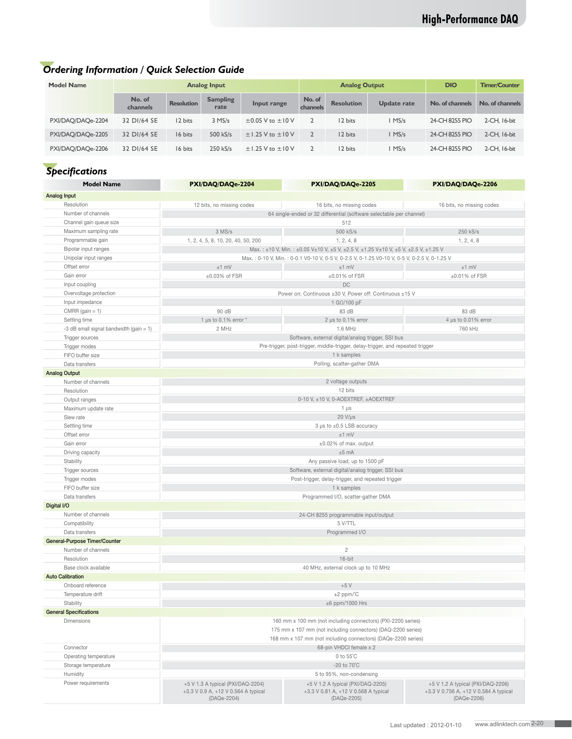## *Ordering Information / Quick Selection Guide*

| <b>Model Name</b> |                    |                   | <b>Analog Input</b>     |                            | <b>Analog Output</b> |                   |                    | <b>DIO</b>      | <b>Timer/Counter</b> |
|-------------------|--------------------|-------------------|-------------------------|----------------------------|----------------------|-------------------|--------------------|-----------------|----------------------|
|                   | No. of<br>channels | <b>Resolution</b> | <b>Sampling</b><br>rate | Input range                | No. of<br>channels   | <b>Resolution</b> | <b>Update rate</b> | No. of channels | No. of channels      |
| PXI/DAQ/DAQe-2204 | 32 DI/64 SE        | 12 bits           | $3$ MS/s                | $\pm$ 0.05 V to $\pm$ 10 V |                      | 12 bits           | I MS/s             | 24-CH 8255 PIO  | 2-CH, 16-bit         |
| PXI/DAQ/DAQe-2205 | 32 DI/64 SE        | 16 bits           | 500 kS/s                | $\pm$ 1.25 V to $\pm$ 10 V |                      | 12 bits           | $1$ MS/s           | 24-CH 8255 PIO  | 2-CH, 16-bit         |
| PXI/DAQ/DAQe-2206 | 32 DI/64 SE        | 16 bits           | $250$ kS/s              | $\pm$ 1.25 V to $\pm$ 10 V |                      | 12 bits           | MS/s               | 24-CH 8255 PIO  | 2-CH, 16-bit         |

## *Specifications*

| <b>Model Name</b>                          | PXI/DAQ/DAQe-2204                                                                                                                                                                 | PXI/DAQ/DAQe-2205                                                              | PXI/DAQ/DAQe-2206                                    |  |  |  |  |
|--------------------------------------------|-----------------------------------------------------------------------------------------------------------------------------------------------------------------------------------|--------------------------------------------------------------------------------|------------------------------------------------------|--|--|--|--|
| Analog Input                               |                                                                                                                                                                                   |                                                                                |                                                      |  |  |  |  |
| Resolution                                 | 12 bits, no missing codes                                                                                                                                                         | 16 bits, no missing codes                                                      | 16 bits, no missing codes                            |  |  |  |  |
| Number of channels                         |                                                                                                                                                                                   |                                                                                |                                                      |  |  |  |  |
| Channel gain queue size                    | 64 single-ended or 32 differential (software selectable per channel)<br>512                                                                                                       |                                                                                |                                                      |  |  |  |  |
| Maximum sampling rate                      | 3 MS/s                                                                                                                                                                            | 500 kS/s                                                                       | 250 kS/s                                             |  |  |  |  |
| Programmable gain                          | 1, 2, 4, 5, 8, 10, 20, 40, 50, 200                                                                                                                                                | 1, 2, 4, 8                                                                     | 1, 2, 4, 8                                           |  |  |  |  |
| Bipolar input ranges                       |                                                                                                                                                                                   |                                                                                |                                                      |  |  |  |  |
| Unipolar input ranges                      | Max.: ±10 V, Min.: ±0.05 V±10 V, ±5 V, ±2.5 V, ±1.25 V±10 V, ±5 V, ±2.5 V, ±1.25 V<br>Max.: 0-10 V, Min.: 0-0.1 V0-10 V, 0-5 V, 0-2.5 V, 0-1.25 V0-10 V, 0-5 V, 0-2.5 V, 0-1.25 V |                                                                                |                                                      |  |  |  |  |
| Offset error                               |                                                                                                                                                                                   | $±1$ mV<br>$±1$ mV<br>$±1$ mV                                                  |                                                      |  |  |  |  |
| Gain error                                 | ±0.03% of FSR<br>$\pm 0.01\%$ of FSR<br>$\pm 0.01\%$ of FSR                                                                                                                       |                                                                                |                                                      |  |  |  |  |
| Input coupling                             | DC                                                                                                                                                                                |                                                                                |                                                      |  |  |  |  |
| Overvoltage protection                     |                                                                                                                                                                                   | Power on: Continuous ±30 V, Power off: Continuous ±15 V                        |                                                      |  |  |  |  |
| Input impedance                            |                                                                                                                                                                                   | 1 GΩ/100 pF                                                                    |                                                      |  |  |  |  |
| CMRR (gain $= 1$ )                         | 90 dB                                                                                                                                                                             | 83 dB                                                                          | 83 dB                                                |  |  |  |  |
| Settling time                              | 1 µs to $0.1\%$ error $*$                                                                                                                                                         | 2 $\mu$ s to 0.1% error                                                        | 4 µs to 0.01% error                                  |  |  |  |  |
| -3 dB small signal bandwidth (gain $= 1$ ) | 2 MHz                                                                                                                                                                             | 1.6 MHz                                                                        | 760 kHz                                              |  |  |  |  |
| Trigger sources                            |                                                                                                                                                                                   | Software, external digital/analog trigger, SSI bus                             |                                                      |  |  |  |  |
| Trigger modes                              |                                                                                                                                                                                   | Pre-trigger, post-trigger, middle-trigger, delay-trigger, and repeated trigger |                                                      |  |  |  |  |
| FIFO buffer size                           |                                                                                                                                                                                   | 1 k samples                                                                    |                                                      |  |  |  |  |
| Data transfers                             |                                                                                                                                                                                   | Polling, scatter-gather DMA                                                    |                                                      |  |  |  |  |
| <b>Analog Output</b>                       |                                                                                                                                                                                   |                                                                                |                                                      |  |  |  |  |
| Number of channels                         |                                                                                                                                                                                   | 2 voltage outputs                                                              |                                                      |  |  |  |  |
| Resolution                                 |                                                                                                                                                                                   | 12 bits                                                                        |                                                      |  |  |  |  |
| Output ranges                              |                                                                                                                                                                                   | 0-10 V, ±10 V, 0-AOEXTREF, ±AOEXTREF                                           |                                                      |  |  |  |  |
| Maximum update rate                        | 1 $\mu$ s                                                                                                                                                                         |                                                                                |                                                      |  |  |  |  |
| Slew rate                                  |                                                                                                                                                                                   | $20 V/\mu s$                                                                   |                                                      |  |  |  |  |
| Settling time                              | 3 µs to ±0.5 LSB accuracy                                                                                                                                                         |                                                                                |                                                      |  |  |  |  |
| Offset error                               |                                                                                                                                                                                   | $±1$ mV                                                                        |                                                      |  |  |  |  |
| Gain error                                 | ±0.02% of max. output                                                                                                                                                             |                                                                                |                                                      |  |  |  |  |
| Driving capacity                           |                                                                                                                                                                                   | $±5$ mA                                                                        |                                                      |  |  |  |  |
| Stability                                  |                                                                                                                                                                                   | Any passive load, up to 1500 pF                                                |                                                      |  |  |  |  |
| Trigger sources                            |                                                                                                                                                                                   | Software, external digital/analog trigger, SSI bus                             |                                                      |  |  |  |  |
| Trigger modes                              | Post-trigger, delay-trigger, and repeated trigger                                                                                                                                 |                                                                                |                                                      |  |  |  |  |
| FIFO buffer size                           | 1 k samples                                                                                                                                                                       |                                                                                |                                                      |  |  |  |  |
| Data transfers                             | Programmed I/O, scatter-gather DMA                                                                                                                                                |                                                                                |                                                      |  |  |  |  |
| Digital I/O                                |                                                                                                                                                                                   |                                                                                |                                                      |  |  |  |  |
| Number of channels                         |                                                                                                                                                                                   | 24-CH 8255 programmable input/output                                           |                                                      |  |  |  |  |
| Compatibility                              | 5 V/TTL                                                                                                                                                                           |                                                                                |                                                      |  |  |  |  |
| Data transfers                             | Programmed I/O                                                                                                                                                                    |                                                                                |                                                      |  |  |  |  |
| General-Purpose Timer/Counter              |                                                                                                                                                                                   |                                                                                |                                                      |  |  |  |  |
| Number of channels                         |                                                                                                                                                                                   | $\overline{c}$                                                                 |                                                      |  |  |  |  |
| Resolution                                 | $16$ -bit                                                                                                                                                                         |                                                                                |                                                      |  |  |  |  |
| Base clock available                       | 40 MHz, external clock up to 10 MHz                                                                                                                                               |                                                                                |                                                      |  |  |  |  |
| <b>Auto Calibration</b>                    |                                                                                                                                                                                   |                                                                                |                                                      |  |  |  |  |
| Onboard reference                          | $+5V$                                                                                                                                                                             |                                                                                |                                                      |  |  |  |  |
| Temperature drift                          | $±2$ ppm/ $°C$                                                                                                                                                                    |                                                                                |                                                      |  |  |  |  |
| Stability                                  | $\pm 6$ ppm/1000 Hrs                                                                                                                                                              |                                                                                |                                                      |  |  |  |  |
| <b>General Specifications</b>              |                                                                                                                                                                                   |                                                                                |                                                      |  |  |  |  |
| <b>Dimensions</b>                          |                                                                                                                                                                                   | 160 mm x 100 mm (not including connectors) (PXI-2200 series)                   |                                                      |  |  |  |  |
|                                            | 175 mm x 107 mm (not including connectors) (DAQ-2200 series)                                                                                                                      |                                                                                |                                                      |  |  |  |  |
|                                            | 168 mm x 107 mm (not including connectors) (DAQe-2200 series)                                                                                                                     |                                                                                |                                                      |  |  |  |  |
| Connector                                  |                                                                                                                                                                                   | 68-pin VHDCI female x 2                                                        |                                                      |  |  |  |  |
| Operating temperature                      |                                                                                                                                                                                   | 0 to 55°C                                                                      |                                                      |  |  |  |  |
| Storage temperature                        |                                                                                                                                                                                   | -20 to $70^{\circ}$ C                                                          |                                                      |  |  |  |  |
| Humidity                                   |                                                                                                                                                                                   | 5 to 95%, non-condensing                                                       |                                                      |  |  |  |  |
| Power requirements                         | +5 V 1.3 A typical (PXI/DAQ-2204)                                                                                                                                                 | +5 V 1.2 A typical (PXI/DAQ-2205)                                              | +5 V 1.2 A typical (PXI/DAQ-2206)                    |  |  |  |  |
|                                            | +3.3 V 0.9 A, +12 V 0.564 A typical<br>(DAQe-2204)                                                                                                                                | +3.3 V 0.81 A, +12 V 0.568 A typical<br>(DAQe-2205)                            | +3.3 V 0.756 A, +12 V 0.584 A typical<br>(DAQe-2206) |  |  |  |  |